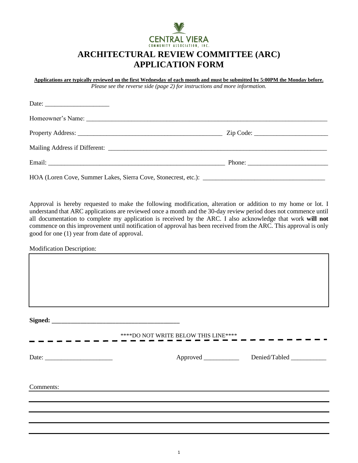

# **ARCHITECTURAL REVIEW COMMITTEE (ARC) APPLICATION FORM**

**Applications are typically reviewed on the first Wednesday of each month and must be submitted by 5:00PM the Monday before.** *Please see the reverse side (page 2) for instructions and more information.*

| HOA (Loren Cove, Summer Lakes, Sierra Cove, Stonecrest, etc.): |  |
|----------------------------------------------------------------|--|

Approval is hereby requested to make the following modification, alteration or addition to my home or lot. I understand that ARC applications are reviewed once a month and the 30-day review period does not commence until all documentation to complete my application is received by the ARC. I also acknowledge that work **will not** commence on this improvement until notification of approval has been received from the ARC. This approval is only good for one (1) year from date of approval.

Modification Description:

**Signed:** \_\_\_\_\_\_\_\_\_\_\_\_\_\_\_\_\_\_\_\_\_\_\_\_\_\_\_\_\_\_\_\_\_\_\_\_\_\_\_\_

\*\*\*\*DO NOT WRITE BELOW THIS LINE\*\*\*\*

Date: Approved Denied/Tabled

Comments: